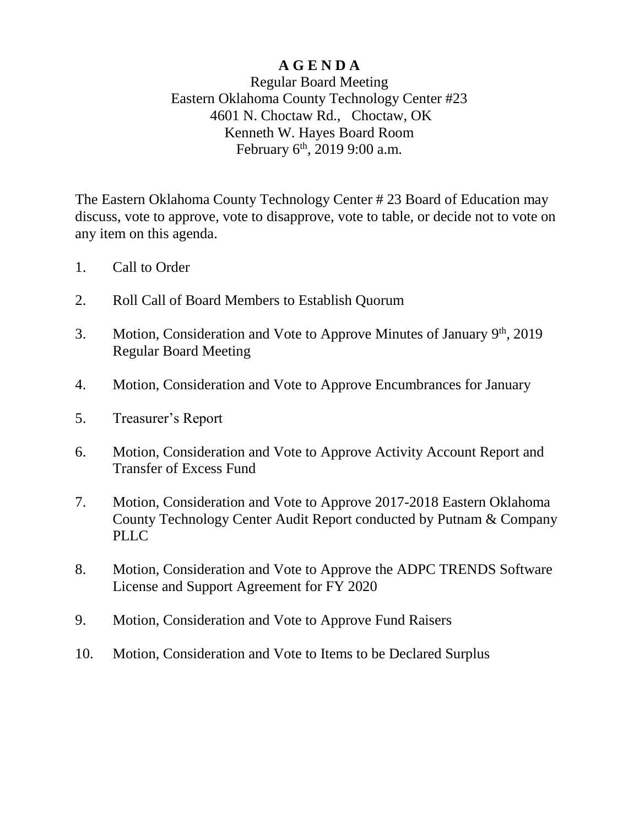# **A G E N D A**

# Regular Board Meeting Eastern Oklahoma County Technology Center #23 4601 N. Choctaw Rd., Choctaw, OK Kenneth W. Hayes Board Room February  $6^{\text{th}}$ , 2019 9:00 a.m.

The Eastern Oklahoma County Technology Center # 23 Board of Education may discuss, vote to approve, vote to disapprove, vote to table, or decide not to vote on any item on this agenda.

- 1. Call to Order
- 2. Roll Call of Board Members to Establish Quorum
- 3. Motion, Consideration and Vote to Approve Minutes of January 9<sup>th</sup>, 2019 Regular Board Meeting
- 4. Motion, Consideration and Vote to Approve Encumbrances for January
- 5. Treasurer's Report
- 6. Motion, Consideration and Vote to Approve Activity Account Report and Transfer of Excess Fund
- 7. Motion, Consideration and Vote to Approve 2017-2018 Eastern Oklahoma County Technology Center Audit Report conducted by Putnam & Company PLLC
- 8. Motion, Consideration and Vote to Approve the ADPC TRENDS Software License and Support Agreement for FY 2020
- 9. Motion, Consideration and Vote to Approve Fund Raisers
- 10. Motion, Consideration and Vote to Items to be Declared Surplus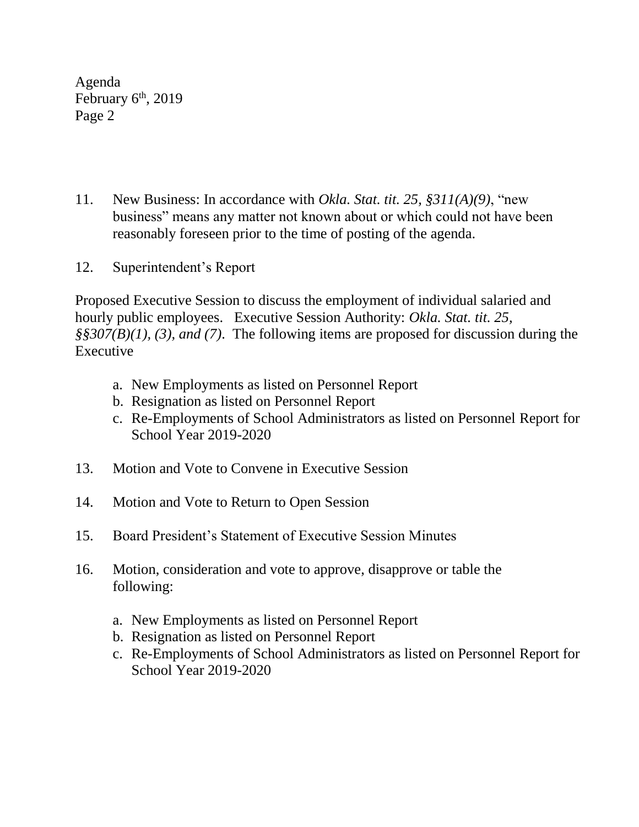Agenda February 6<sup>th</sup>, 2019 Page 2

- 11. New Business: In accordance with *Okla. Stat. tit. 25, §311(A)(9)*, "new business" means any matter not known about or which could not have been reasonably foreseen prior to the time of posting of the agenda.
- 12. Superintendent's Report

Proposed Executive Session to discuss the employment of individual salaried and hourly public employees. Executive Session Authority: *Okla. Stat. tit. 25, §§307(B)(1), (3), and (7)*. The following items are proposed for discussion during the **Executive** 

- a. New Employments as listed on Personnel Report
- b. Resignation as listed on Personnel Report
- c. Re-Employments of School Administrators as listed on Personnel Report for School Year 2019-2020
- 13. Motion and Vote to Convene in Executive Session
- 14. Motion and Vote to Return to Open Session
- 15. Board President's Statement of Executive Session Minutes
- 16. Motion, consideration and vote to approve, disapprove or table the following:
	- a. New Employments as listed on Personnel Report
	- b. Resignation as listed on Personnel Report
	- c. Re-Employments of School Administrators as listed on Personnel Report for School Year 2019-2020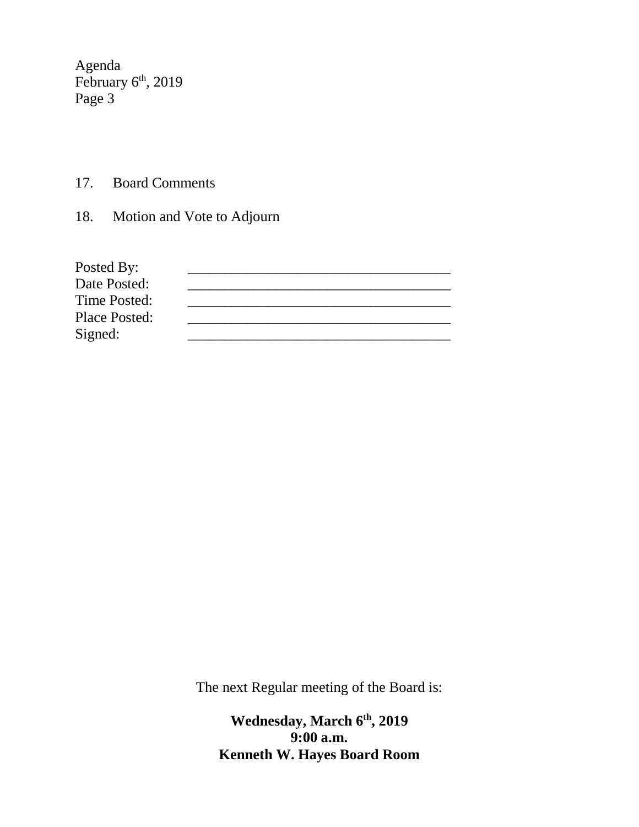Agenda February 6<sup>th</sup>, 2019 Page 3

- 17. Board Comments
- 18. Motion and Vote to Adjourn

| Posted By:           |  |
|----------------------|--|
| Date Posted:         |  |
| Time Posted:         |  |
| <b>Place Posted:</b> |  |
| Signed:              |  |

The next Regular meeting of the Board is:

**Wednesday, March 6 th, 2019 9:00 a.m. Kenneth W. Hayes Board Room**